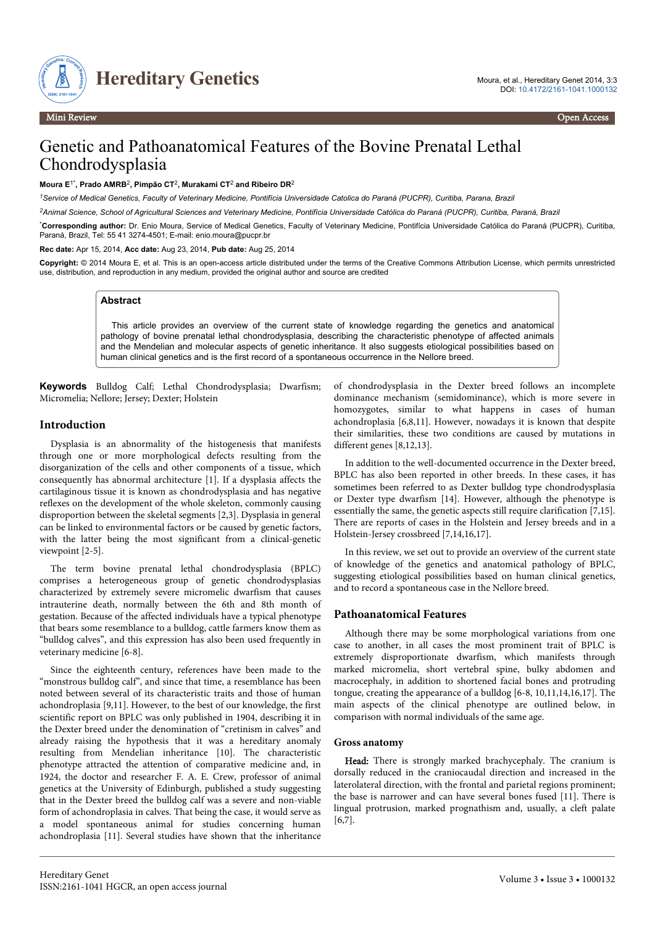

# Genetic and Pathoanatomical Features of the Bovine Prenatal Lethal Chondrodysplasia

#### **Moura E**1\***, Prado AMRB**<sup>2</sup> **, Pimpão CT**<sup>2</sup> **, Murakami CT**<sup>2</sup>  **and Ribeiro DR**<sup>2</sup>

*<sup>1</sup>Service of Medical Genetics, Faculty of Veterinary Medicine, Pontifícia Universidade Catolica do Paraná (PUCPR), Curitiba, Parana, Brazil*

*<sup>2</sup>Animal Science, School of Agricultural Sciences and Veterinary Medicine, Pontifícia Universidade Católica do Paraná (PUCPR), Curitiba, Paraná, Brazil*

\***Corresponding author:** Dr. Enio Moura, Service of Medical Genetics, Faculty of Veterinary Medicine, Pontifícia Universidade Católica do Paraná (PUCPR), Curitiba, Paraná, Brazil, Tel: 55 41 3274-4501; E-mail: enio.moura@pucpr.br

**Rec date:** Apr 15, 2014, **Acc date:** Aug 23, 2014, **Pub date:** Aug 25, 2014

**Copyright:** © 2014 Moura E, et al. This is an open-access article distributed under the terms of the Creative Commons Attribution License, which permits unrestricted use, distribution, and reproduction in any medium, provided the original author and source are credited

# **Abstract**

This article provides an overview of the current state of knowledge regarding the genetics and anatomical pathology of bovine prenatal lethal chondrodysplasia, describing the characteristic phenotype of affected animals and the Mendelian and molecular aspects of genetic inheritance. It also suggests etiological possibilities based on human clinical genetics and is the first record of a spontaneous occurrence in the Nellore breed.

**Keywords** Bulldog Calf; Lethal Chondrodysplasia; Dwarfism; Micromelia; Nellore; Jersey; Dexter; Holstein

#### **Introduction**

Dysplasia is an abnormality of the histogenesis that manifests through one or more morphological defects resulting from the disorganization of the cells and other components of a tissue, which consequently has abnormal architecture [1]. If a dysplasia affects the cartilaginous tissue it is known as chondrodysplasia and has negative reflexes on the development of the whole skeleton, commonly causing disproportion between the skeletal segments [2,3]. Dysplasia in general can be linked to environmental factors or be caused by genetic factors, with the latter being the most significant from a clinical-genetic viewpoint [2-5].

The term bovine prenatal lethal chondrodysplasia (BPLC) comprises a heterogeneous group of genetic chondrodysplasias characterized by extremely severe micromelic dwarfism that causes intrauterine death, normally between the 6th and 8th month of gestation. Because of the affected individuals have a typical phenotype that bears some resemblance to a bulldog, cattle farmers know them as "bulldog calves", and this expression has also been used frequently in veterinary medicine [6-8].

Since the eighteenth century, references have been made to the "monstrous bulldog calf", and since that time, a resemblance has been noted between several of its characteristic traits and those of human achondroplasia [9,11]. However, to the best of our knowledge, the first scientific report on BPLC was only published in 1904, describing it in the Dexter breed under the denomination of "cretinism in calves" and already raising the hypothesis that it was a hereditary anomaly resulting from Mendelian inheritance [10]. The characteristic phenotype attracted the attention of comparative medicine and, in 1924, the doctor and researcher F. A. E. Crew, professor of animal genetics at the University of Edinburgh, published a study suggesting that in the Dexter breed the bulldog calf was a severe and non-viable form of achondroplasia in calves. That being the case, it would serve as a model spontaneous animal for studies concerning human achondroplasia [11]. Several studies have shown that the inheritance

of chondrodysplasia in the Dexter breed follows an incomplete dominance mechanism (semidominance), which is more severe in homozygotes, similar to what happens in cases of human achondroplasia [6,8,11]. However, nowadays it is known that despite their similarities, these two conditions are caused by mutations in different genes [8,12,13].

In addition to the well-documented occurrence in the Dexter breed, BPLC has also been reported in other breeds. In these cases, it has sometimes been referred to as Dexter bulldog type chondrodysplasia or Dexter type dwarfism [14]. However, although the phenotype is essentially the same, the genetic aspects still require clarification [7,15]. There are reports of cases in the Holstein and Jersey breeds and in a Holstein-Jersey crossbreed [7,14,16,17].

In this review, we set out to provide an overview of the current state of knowledge of the genetics and anatomical pathology of BPLC, suggesting etiological possibilities based on human clinical genetics, and to record a spontaneous case in the Nellore breed.

# **Pathoanatomical Features**

Although there may be some morphological variations from one case to another, in all cases the most prominent trait of BPLC is extremely disproportionate dwarfism, which manifests through marked micromelia, short vertebral spine, bulky abdomen and macrocephaly, in addition to shortened facial bones and protruding tongue, creating the appearance of a bulldog [6-8, 10,11,14,16,17]. The main aspects of the clinical phenotype are outlined below, in comparison with normal individuals of the same age.

#### **Gross anatomy**

Head: There is strongly marked brachycephaly. The cranium is dorsally reduced in the craniocaudal direction and increased in the laterolateral direction, with the frontal and parietal regions prominent; the base is narrower and can have several bones fused [11]. There is lingual protrusion, marked prognathism and, usually, a cleft palate [6,7].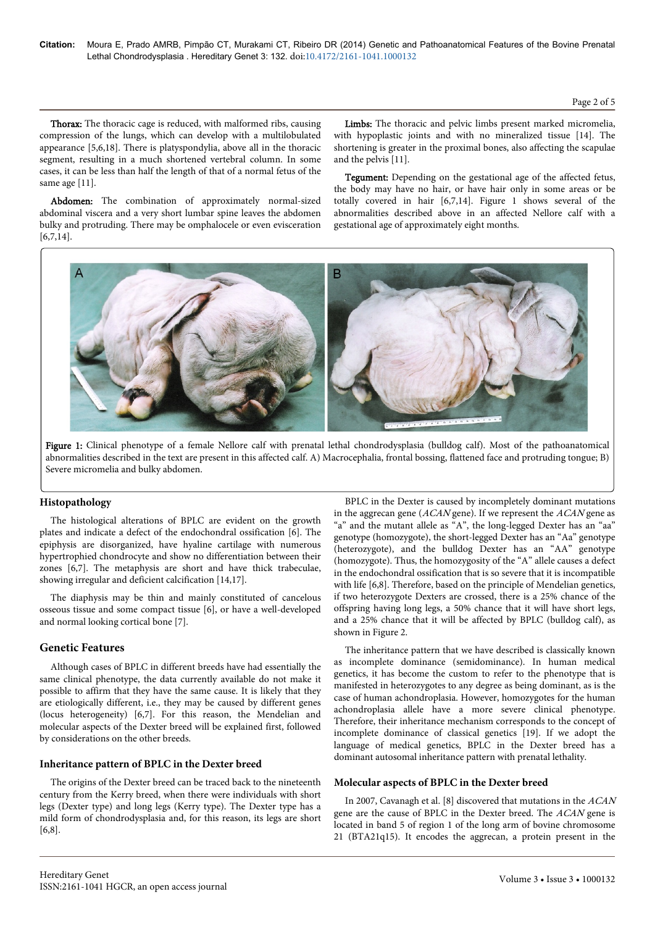**Citation:** Moura E, Prado AMRB, Pimpão CT, Murakami CT, Ribeiro DR (2014) Genetic and Pathoanatomical Features of the Bovine Prenatal Lethal Chondrodysplasia . Hereditary Genet 3: 132. doi:10.4172/2161-1041.1000132

Page 2 of 5

Thorax: The thoracic cage is reduced, with malformed ribs, causing compression of the lungs, which can develop with a multilobulated appearance [5,6,18]. There is platyspondylia, above all in the thoracic segment, resulting in a much shortened vertebral column. In some cases, it can be less than half the length of that of a normal fetus of the same age [11].

Abdomen: The combination of approximately normal-sized abdominal viscera and a very short lumbar spine leaves the abdomen bulky and protruding. There may be omphalocele or even evisceration [6,7,14].

Limbs: The thoracic and pelvic limbs present marked micromelia, with hypoplastic joints and with no mineralized tissue [14]. The shortening is greater in the proximal bones, also affecting the scapulae and the pelvis [11].

Tegument: Depending on the gestational age of the affected fetus, the body may have no hair, or have hair only in some areas or be totally covered in hair [6,7,14]. Figure 1 shows several of the abnormalities described above in an affected Nellore calf with a gestational age of approximately eight months.



Figure 1: Clinical phenotype of a female Nellore calf with prenatal lethal chondrodysplasia (bulldog calf). Most of the pathoanatomical abnormalities described in the text are present in this affected calf. A) Macrocephalia, frontal bossing, flattened face and protruding tongue; B) Severe micromelia and bulky abdomen.

#### **Histopathology**

The histological alterations of BPLC are evident on the growth plates and indicate a defect of the endochondral ossification [6]. The epiphysis are disorganized, have hyaline cartilage with numerous hypertrophied chondrocyte and show no differentiation between their zones [6,7]. The metaphysis are short and have thick trabeculae, showing irregular and deficient calcification [14,17].

The diaphysis may be thin and mainly constituted of cancelous osseous tissue and some compact tissue [6], or have a well-developed and normal looking cortical bone [7].

#### **Genetic Features**

Although cases of BPLC in different breeds have had essentially the same clinical phenotype, the data currently available do not make it possible to affirm that they have the same cause. It is likely that they are etiologically different, i.e., they may be caused by different genes (locus heterogeneity) [6,7]. For this reason, the Mendelian and molecular aspects of the Dexter breed will be explained first, followed by considerations on the other breeds.

#### **Inheritance pattern of BPLC in the Dexter breed**

The origins of the Dexter breed can be traced back to the nineteenth century from the Kerry breed, when there were individuals with short legs (Dexter type) and long legs (Kerry type). The Dexter type has a mild form of chondrodysplasia and, for this reason, its legs are short [6,8].

BPLC in the Dexter is caused by incompletely dominant mutations in the aggrecan gene ( $ACAN$  gene). If we represent the  $ACAN$  gene as "a" and the mutant allele as "A", the long-legged Dexter has an "aa" genotype (homozygote), the short-legged Dexter has an "Aa" genotype (heterozygote), and the bulldog Dexter has an "AA" genotype (homozygote). Thus, the homozygosity of the "A" allele causes a defect in the endochondral ossification that is so severe that it is incompatible with life [6,8]. Therefore, based on the principle of Mendelian genetics, if two heterozygote Dexters are crossed, there is a 25% chance of the offspring having long legs, a 50% chance that it will have short legs, and a 25% chance that it will be affected by BPLC (bulldog calf), as shown in Figure 2.

The inheritance pattern that we have described is classically known as incomplete dominance (semidominance). In human medical genetics, it has become the custom to refer to the phenotype that is manifested in heterozygotes to any degree as being dominant, as is the case of human achondroplasia. However, homozygotes for the human achondroplasia allele have a more severe clinical phenotype. Therefore, their inheritance mechanism corresponds to the concept of incomplete dominance of classical genetics [19]. If we adopt the language of medical genetics, BPLC in the Dexter breed has a dominant autosomal inheritance pattern with prenatal lethality.

#### **Molecular aspects of BPLC in the Dexter breed**

In 2007, Cavanagh et al. [8] discovered that mutations in the ACAN gene are the cause of BPLC in the Dexter breed. The ACAN gene is located in band 5 of region 1 of the long arm of bovine chromosome 21 (BTA21q15). It encodes the aggrecan, a protein present in the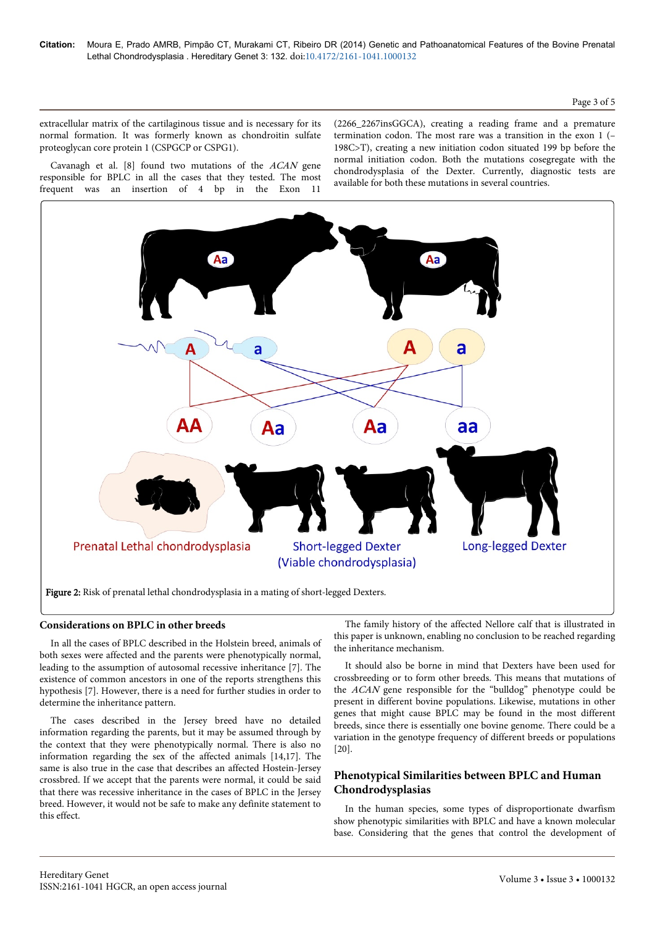#### Page 3 of 5

extracellular matrix of the cartilaginous tissue and is necessary for its normal formation. It was formerly known as chondroitin sulfate proteoglycan core protein 1 (CSPGCP or CSPG1).

Cavanagh et al. [8] found two mutations of the ACAN gene responsible for BPLC in all the cases that they tested. The most frequent was an insertion of 4 bp in the Exon 11

(2266\_2267insGGCA), creating a reading frame and a premature termination codon. The most rare was a transition in the exon 1 (– 198C>T), creating a new initiation codon situated 199 bp before the normal initiation codon. Both the mutations cosegregate with the chondrodysplasia of the Dexter. Currently, diagnostic tests are available for both these mutations in several countries.



# **Considerations on BPLC in other breeds**

In all the cases of BPLC described in the Holstein breed, animals of both sexes were affected and the parents were phenotypically normal, leading to the assumption of autosomal recessive inheritance [7]. The existence of common ancestors in one of the reports strengthens this hypothesis [7]. However, there is a need for further studies in order to determine the inheritance pattern.

The cases described in the Jersey breed have no detailed information regarding the parents, but it may be assumed through by the context that they were phenotypically normal. There is also no information regarding the sex of the affected animals [14,17]. The same is also true in the case that describes an affected Hostein-Jersey crossbred. If we accept that the parents were normal, it could be said that there was recessive inheritance in the cases of BPLC in the Jersey breed. However, it would not be safe to make any definite statement to this effect.

The family history of the affected Nellore calf that is illustrated in this paper is unknown, enabling no conclusion to be reached regarding the inheritance mechanism.

It should also be borne in mind that Dexters have been used for crossbreeding or to form other breeds. This means that mutations of the ACAN gene responsible for the "bulldog" phenotype could be present in different bovine populations. Likewise, mutations in other genes that might cause BPLC may be found in the most different breeds, since there is essentially one bovine genome. There could be a variation in the genotype frequency of different breeds or populations [20].

# **Phenotypical Similarities between BPLC and Human Chondrodysplasias**

In the human species, some types of disproportionate dwarfism show phenotypic similarities with BPLC and have a known molecular base. Considering that the genes that control the development of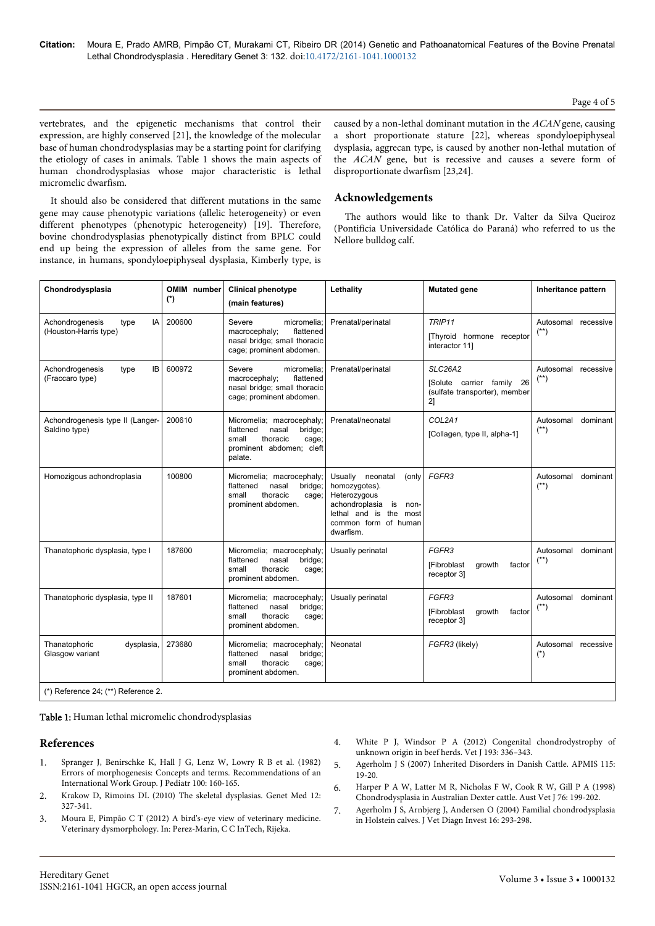#### Page 4 of 5

vertebrates, and the epigenetic mechanisms that control their expression, are highly conserved [21], the knowledge of the molecular base of human chondrodysplasias may be a starting point for clarifying the etiology of cases in animals. Table 1 shows the main aspects of human chondrodysplasias whose major characteristic is lethal micromelic dwarfism.

It should also be considered that different mutations in the same gene may cause phenotypic variations (allelic heterogeneity) or even different phenotypes (phenotypic heterogeneity) [19]. Therefore, bovine chondrodysplasias phenotypically distinct from BPLC could end up being the expression of alleles from the same gene. For instance, in humans, spondyloepiphyseal dysplasia, Kimberly type, is caused by a non-lethal dominant mutation in the ACAN gene, causing a short proportionate stature [22], whereas spondyloepiphyseal dysplasia, aggrecan type, is caused by another non-lethal mutation of the ACAN gene, but is recessive and causes a severe form of disproportionate dwarfism [23,24].

# **Acknowledgements**

The authors would like to thank Dr. Valter da Silva Queiroz (Pontifícia Universidade Católica do Paraná) who referred to us the Nellore bulldog calf.

| Chondrodysplasia                                        | OMIM number<br>$(*)$ | <b>Clinical phenotype</b><br>(main features)                                                                                    | Lethality                                                                                                                                                 | <b>Mutated gene</b>                                                            | Inheritance pattern                      |
|---------------------------------------------------------|----------------------|---------------------------------------------------------------------------------------------------------------------------------|-----------------------------------------------------------------------------------------------------------------------------------------------------------|--------------------------------------------------------------------------------|------------------------------------------|
| IA<br>Achondrogenesis<br>type<br>(Houston-Harris type)  | 200600               | Severe<br>micromelia:<br>flattened<br>macrocephaly;<br>nasal bridge; small thoracic<br>cage; prominent abdomen.                 | Prenatal/perinatal                                                                                                                                        | TRIP11<br>[Thyroid hormone receptor<br>interactor 11]                          | Autosomal recessive<br>$(**)$            |
| <b>IB</b><br>Achondrogenesis<br>type<br>(Fraccaro type) | 600972               | Severe<br>micromelia;<br>macrocephaly;<br>flattened<br>nasal bridge; small thoracic<br>cage; prominent abdomen.                 | Prenatal/perinatal                                                                                                                                        | SLC26A2<br>26<br>[Solute carrier family<br>(sulfate transporter), member<br>21 | Autosomal<br>recessive<br>$(***)$        |
| Achondrogenesis type II (Langer-<br>Saldino type)       | 200610               | Micromelia; macrocephaly;<br>flattened<br>nasal<br>bridge;<br>thoracic<br>small<br>cage;<br>prominent abdomen; cleft<br>palate. | Prenatal/neonatal                                                                                                                                         | COL2A1                                                                         | Autosomal<br>dominant<br>$(**)$          |
|                                                         |                      |                                                                                                                                 |                                                                                                                                                           | [Collagen, type II, alpha-1]                                                   |                                          |
| Homozigous achondroplasia                               | 100800               | Micromelia; macrocephaly;<br>flattened<br>nasal<br>bridge;<br>thoracic<br>small<br>cage;<br>prominent abdomen.                  | Usually neonatal<br>(only<br>homozygotes).<br>Heterozygous<br>achondroplasia<br>is<br>non-<br>lethal and is the most<br>common form of human<br>dwarfism. | FGFR3                                                                          | Autosomal<br>dominant<br>$(**)$          |
| Thanatophoric dysplasia, type I                         | 187600               | Micromelia; macrocephaly;<br>flattened<br>bridge;<br>nasal<br>thoracic<br>small<br>cage;<br>prominent abdomen.                  | Usually perinatal                                                                                                                                         | FGFR3<br><b>[Fibroblast</b><br>growth<br>factor<br>receptor 3]                 | Autosomal<br>dominant<br>$^{(\ast\ast)}$ |
| Thanatophoric dysplasia, type II                        | 187601               | Micromelia; macrocephaly;<br>flattened<br>nasal<br>bridge;<br>thoracic<br>small<br>cage;<br>prominent abdomen.                  | Usually perinatal                                                                                                                                         | FGFR3<br>[Fibroblast]<br>growth<br>factor<br>receptor 3]                       | Autosomal<br>dominant<br>$^{(\ast\ast)}$ |
| Thanatophoric<br>dysplasia,<br>Glasgow variant          | 273680               | Micromelia; macrocephaly;<br>flattened<br>bridge;<br>nasal<br>thoracic<br>small<br>cage;<br>prominent abdomen.                  | Neonatal                                                                                                                                                  | FGFR3 (likely)                                                                 | Autosomal recessive<br>$(*)$             |
| (*) Reference 24; (**) Reference 2.                     |                      |                                                                                                                                 |                                                                                                                                                           |                                                                                |                                          |

Table 1: Human lethal micromelic chondrodysplasias

#### **References**

- 1. [Spranger J, Benirschke K, Hall J G, Lenz W, Lowry R B et al. \(1982\)](http://www.ncbi.nlm.nih.gov/pubmed/7057306) [Errors of morphogenesis: Concepts and terms. Recommendations of an](http://www.ncbi.nlm.nih.gov/pubmed/7057306) [International Work Group. J Pediatr 100: 160-165.](http://www.ncbi.nlm.nih.gov/pubmed/7057306)
- 2. [Krakow D, Rimoins DL \(2010\) The skeletal dysplasias. Genet Med 12:](http://www.ncbi.nlm.nih.gov/pubmed/20556869) [327-341.](http://www.ncbi.nlm.nih.gov/pubmed/20556869)
- 3. Moura E, Pimpão C T (2012) A bird's-eye view of veterinary medicine. Veterinary dysmorphology. In: Perez-Marin, C C InTech, Rijeka.
- 4. [White P J, Windsor P A \(2012\) Congenital chondrodystrophy of](http://www.ncbi.nlm.nih.gov/pubmed/22633829) [unknown origin in beef herds. Vet J 193: 336–343.](http://www.ncbi.nlm.nih.gov/pubmed/22633829)
- 5. [Agerholm J S \(2007\) Inherited Disorders in Danish Cattle. APMIS 115:](http://www.researchgate.net/publication/5908966_Inherited_disorders_in_Danish_cattle) [19-20.](http://www.researchgate.net/publication/5908966_Inherited_disorders_in_Danish_cattle)
- 6. [Harper P A W, Latter M R, Nicholas F W, Cook R W, Gill P A \(1998\)](http://www.ncbi.nlm.nih.gov/pubmed/9578757) [Chondrodysplasia in Australian Dexter cattle. Aust Vet J 76: 199-202.](http://www.ncbi.nlm.nih.gov/pubmed/9578757)
- 7. [Agerholm J S, Arnbjerg J, Andersen O \(2004\) Familial chondrodysplasia](http://vdi.sagepub.com/content/16/4/293.full.pdf) [in Holstein calves. J Vet Diagn Invest 16: 293-298.](http://vdi.sagepub.com/content/16/4/293.full.pdf)